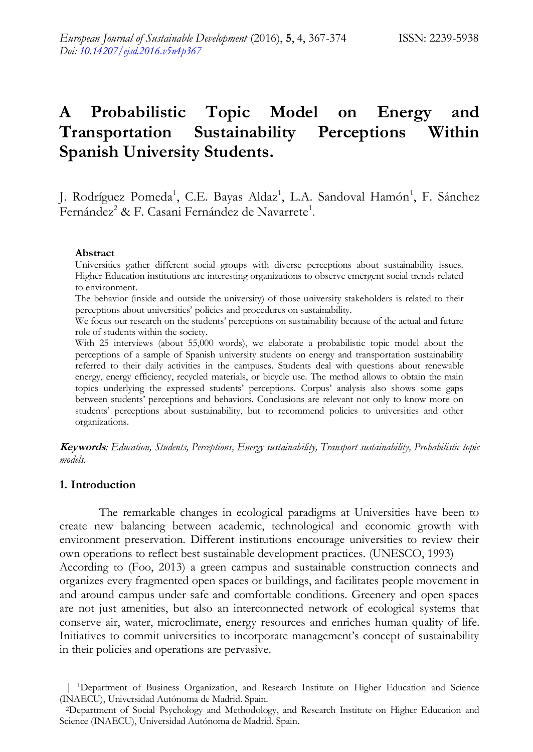# **A Probabilistic Topic Model on Energy and Transportation Sustainability Perceptions Within Spanish University Students.**

J. Rodríguez Pomeda<sup>1</sup>, C.E. Bayas Aldaz<sup>1</sup>, L.A. Sandoval Hamón<sup>1</sup>, F. Sánchez Fernández<sup>2</sup> & F. Casani Fernández de Navarrete<sup>1</sup>.

#### **Abstract**

Universities gather different social groups with diverse perceptions about sustainability issues. Higher Education institutions are interesting organizations to observe emergent social trends related to environment.

The behavior (inside and outside the university) of those university stakeholders is related to their perceptions about universities" policies and procedures on sustainability.

We focus our research on the students' perceptions on sustainability because of the actual and future role of students within the society.

With 25 interviews (about 55,000 words), we elaborate a probabilistic topic model about the perceptions of a sample of Spanish university students on energy and transportation sustainability referred to their daily activities in the campuses. Students deal with questions about renewable energy, energy efficiency, recycled materials, or bicycle use. The method allows to obtain the main topics underlying the expressed students" perceptions. Corpus" analysis also shows some gaps between students" perceptions and behaviors. Conclusions are relevant not only to know more on students" perceptions about sustainability, but to recommend policies to universities and other organizations.

**Keywords***: Education, Students, Perceptions, Energy sustainability, Transport sustainability, Probabilistic topic models.*

#### **1. Introduction**

The remarkable changes in ecological paradigms at Universities have been to create new balancing between academic, technological and economic growth with environment preservation. Different institutions encourage universities to review their own operations to reflect best sustainable development practices. (UNESCO, 1993) According to (Foo, 2013) a green campus and sustainable construction connects and organizes every fragmented open spaces or buildings, and facilitates people movement in and around campus under safe and comfortable conditions. Greenery and open spaces are not just amenities, but also an interconnected network of ecological systems that conserve air, water, microclimate, energy resources and enriches human quality of life. Initiatives to commit universities to incorporate management's concept of sustainability in their policies and operations are pervasive.

<sup>&</sup>lt;sup>1</sup>Department of Business Organization, and Research Institute on Higher Education and Science (INAECU), Universidad Autónoma de Madrid. Spain.

<sup>2</sup>Department of Social Psychology and Methodology, and Research Institute on Higher Education and Science (INAECU), Universidad Autónoma de Madrid. Spain.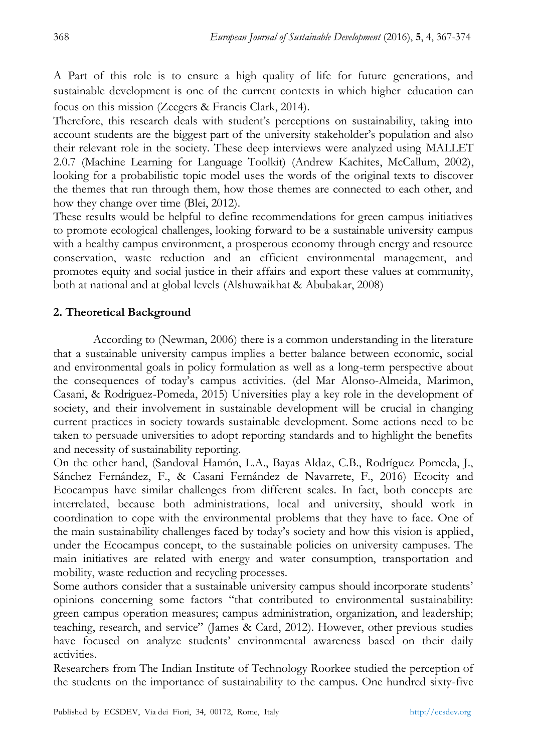A Part of this role is to ensure a high quality of life for future generations, and sustainable development is one of the current contexts in which higher education can focus on this mission (Zeegers & Francis Clark, 2014).

Therefore, this research deals with student"s perceptions on sustainability, taking into account students are the biggest part of the university stakeholder"s population and also their relevant role in the society. These deep interviews were analyzed using MALLET 2.0.7 (Machine Learning for Language Toolkit) (Andrew Kachites, McCallum, 2002), looking for a probabilistic topic model uses the words of the original texts to discover the themes that run through them, how those themes are connected to each other, and how they change over time (Blei, 2012).

These results would be helpful to define recommendations for green campus initiatives to promote ecological challenges, looking forward to be a sustainable university campus with a healthy campus environment, a prosperous economy through energy and resource conservation, waste reduction and an efficient environmental management, and promotes equity and social justice in their affairs and export these values at community, both at national and at global levels (Alshuwaikhat & Abubakar, 2008)

# **2. Theoretical Background**

According to (Newman, 2006) there is a common understanding in the literature that a sustainable university campus implies a better balance between economic, social and environmental goals in policy formulation as well as a long-term perspective about the consequences of today"s campus activities. (del Mar Alonso-Almeida, Marimon, Casani, & Rodriguez-Pomeda, 2015) Universities play a key role in the development of society, and their involvement in sustainable development will be crucial in changing current practices in society towards sustainable development. Some actions need to be taken to persuade universities to adopt reporting standards and to highlight the benefits and necessity of sustainability reporting.

On the other hand, (Sandoval Hamón, L.A., Bayas Aldaz, C.B., Rodríguez Pomeda, J., Sánchez Fernández, F., & Casani Fernández de Navarrete, F., 2016) Ecocity and Ecocampus have similar challenges from different scales. In fact, both concepts are interrelated, because both administrations, local and university, should work in coordination to cope with the environmental problems that they have to face. One of the main sustainability challenges faced by today"s society and how this vision is applied, under the Ecocampus concept, to the sustainable policies on university campuses. The main initiatives are related with energy and water consumption, transportation and mobility, waste reduction and recycling processes.

Some authors consider that a sustainable university campus should incorporate students" opinions concerning some factors "that contributed to environmental sustainability: green campus operation measures; campus administration, organization, and leadership; teaching, research, and service" (James & Card, 2012). However, other previous studies have focused on analyze students' environmental awareness based on their daily activities.

Researchers from The Indian Institute of Technology Roorkee studied the perception of the students on the importance of sustainability to the campus. One hundred sixty-five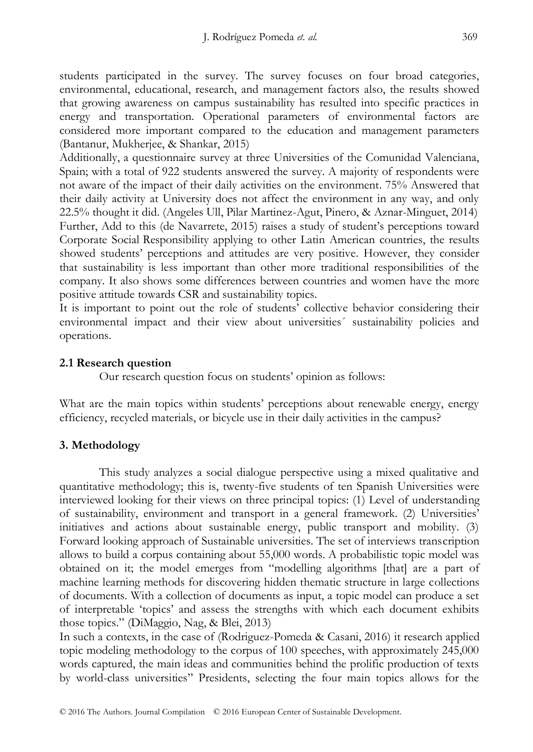students participated in the survey. The survey focuses on four broad categories, environmental, educational, research, and management factors also, the results showed that growing awareness on campus sustainability has resulted into specific practices in energy and transportation. Operational parameters of environmental factors are considered more important compared to the education and management parameters (Bantanur, Mukherjee, & Shankar, 2015)

Additionally, a questionnaire survey at three Universities of the Comunidad Valenciana, Spain; with a total of 922 students answered the survey. A majority of respondents were not aware of the impact of their daily activities on the environment. 75% Answered that their daily activity at University does not affect the environment in any way, and only 22.5% thought it did. (Angeles Ull, Pilar Martinez-Agut, Pinero, & Aznar-Minguet, 2014) Further, Add to this (de Navarrete, 2015) raises a study of student's perceptions toward Corporate Social Responsibility applying to other Latin American countries, the results showed students" perceptions and attitudes are very positive. However, they consider that sustainability is less important than other more traditional responsibilities of the company. It also shows some differences between countries and women have the more positive attitude towards CSR and sustainability topics.

It is important to point out the role of students" collective behavior considering their environmental impact and their view about universities´ sustainability policies and operations.

## **2.1 Research question**

Our research question focus on students" opinion as follows:

What are the main topics within students' perceptions about renewable energy, energy efficiency, recycled materials, or bicycle use in their daily activities in the campus?

# **3. Methodology**

This study analyzes a social dialogue perspective using a mixed qualitative and quantitative methodology; this is, twenty-five students of ten Spanish Universities were interviewed looking for their views on three principal topics: (1) Level of understanding of sustainability, environment and transport in a general framework. (2) Universities" initiatives and actions about sustainable energy, public transport and mobility. (3) Forward looking approach of Sustainable universities. The set of interviews transcription allows to build a corpus containing about 55,000 words. A probabilistic topic model was obtained on it; the model emerges from "modelling algorithms [that] are a part of machine learning methods for discovering hidden thematic structure in large collections of documents. With a collection of documents as input, a topic model can produce a set of interpretable "topics" and assess the strengths with which each document exhibits those topics." (DiMaggio, Nag, & Blei, 2013)

In such a contexts, in the case of (Rodriguez-Pomeda & Casani, 2016) it research applied topic modeling methodology to the corpus of 100 speeches, with approximately 245,000 words captured, the main ideas and communities behind the prolific production of texts by world-class universities"" Presidents, selecting the four main topics allows for the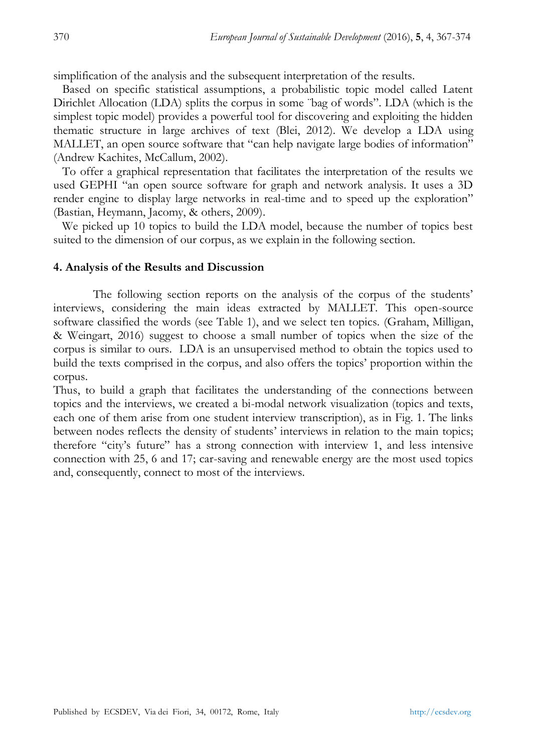simplification of the analysis and the subsequent interpretation of the results.

 Based on specific statistical assumptions, a probabilistic topic model called Latent Dirichlet Allocation (LDA) splits the corpus in some ¨bag of words". LDA (which is the simplest topic model) provides a powerful tool for discovering and exploiting the hidden thematic structure in large archives of text (Blei, 2012). We develop a LDA using MALLET, an open source software that "can help navigate large bodies of information" (Andrew Kachites, McCallum, 2002).

 To offer a graphical representation that facilitates the interpretation of the results we used GEPHI "an open source software for graph and network analysis. It uses a 3D render engine to display large networks in real-time and to speed up the exploration" (Bastian, Heymann, Jacomy, & others, 2009).

We picked up 10 topics to build the LDA model, because the number of topics best suited to the dimension of our corpus, as we explain in the following section.

#### **4. Analysis of the Results and Discussion**

The following section reports on the analysis of the corpus of the students" interviews, considering the main ideas extracted by MALLET. This open-source software classified the words (see Table 1), and we select ten topics. (Graham, Milligan, & Weingart, 2016) suggest to choose a small number of topics when the size of the corpus is similar to ours. LDA is an unsupervised method to obtain the topics used to build the texts comprised in the corpus, and also offers the topics" proportion within the corpus.

Thus, to build a graph that facilitates the understanding of the connections between topics and the interviews, we created a bi-modal network visualization (topics and texts, each one of them arise from one student interview transcription), as in Fig. 1. The links between nodes reflects the density of students" interviews in relation to the main topics; therefore "city"s future" has a strong connection with interview 1, and less intensive connection with 25, 6 and 17; car-saving and renewable energy are the most used topics and, consequently, connect to most of the interviews.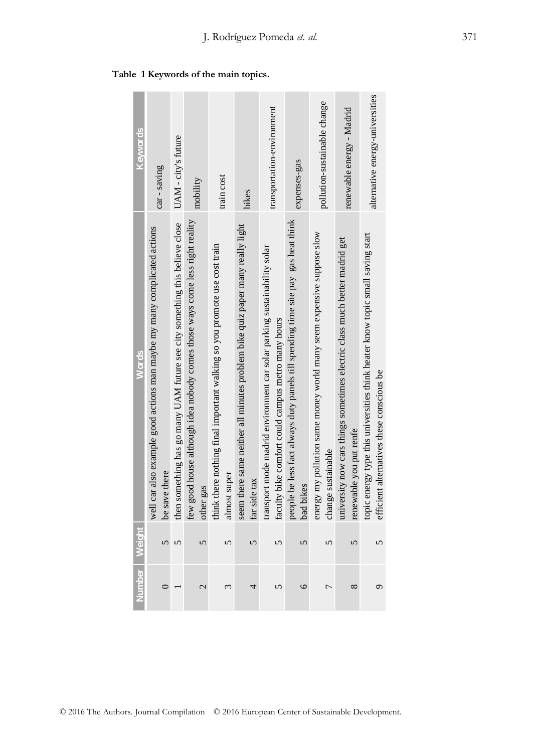| Keywords      | car - saving                                                                              | UAM - city's future                                                         | mobility                                                                                  | train cost                                                                                | bikes                                                                                         | transportation-environment                                                                                                     | expenses-gas                                                                                   | pollution-sustainable change                                                                | renewable energy - Madrid                                                                             | alternative energy-universities                                                                                             |
|---------------|-------------------------------------------------------------------------------------------|-----------------------------------------------------------------------------|-------------------------------------------------------------------------------------------|-------------------------------------------------------------------------------------------|-----------------------------------------------------------------------------------------------|--------------------------------------------------------------------------------------------------------------------------------|------------------------------------------------------------------------------------------------|---------------------------------------------------------------------------------------------|-------------------------------------------------------------------------------------------------------|-----------------------------------------------------------------------------------------------------------------------------|
| Words         | well car also example good actions man maybe my many complicated actions<br>be save there | then something has go many UAM future see city something this believe close | few good house although idea nobody comes those ways come less right reality<br>other gas | think there nothing final important walking so you promote use cost train<br>almost super | seem there same neither all minutes problem bike quiz paper many really light<br>far side tax | transport mode madrid environment car solar parking sustainability solar<br>faculty bike comfort could campus metro many hours | people be less fact always duty panels till spending time site pay gas heat think<br>bad bikes | energy my pollution same money world many seem expensive suppose slow<br>change sustainable | university now cars things sometimes electric class much better madrid get<br>renewable you put rente | topic energy type this universities think heater know topic small saving start<br>efficient alternatives these conscious be |
| Number Weight | $\Omega$                                                                                  | $\sqrt{ }$                                                                  | $\sqrt{2}$                                                                                | $\sqrt{ }$                                                                                | 5                                                                                             | $\sqrt{ }$                                                                                                                     | $\sqrt{2}$                                                                                     | $\Omega$                                                                                    | $\sqrt{2}$                                                                                            | 5                                                                                                                           |
|               |                                                                                           |                                                                             | 2                                                                                         | 3                                                                                         | 4                                                                                             |                                                                                                                                | $\epsilon$                                                                                     | Γ                                                                                           | ∞                                                                                                     | $\circ$                                                                                                                     |

 **Table 1 Keywords of the main topics.**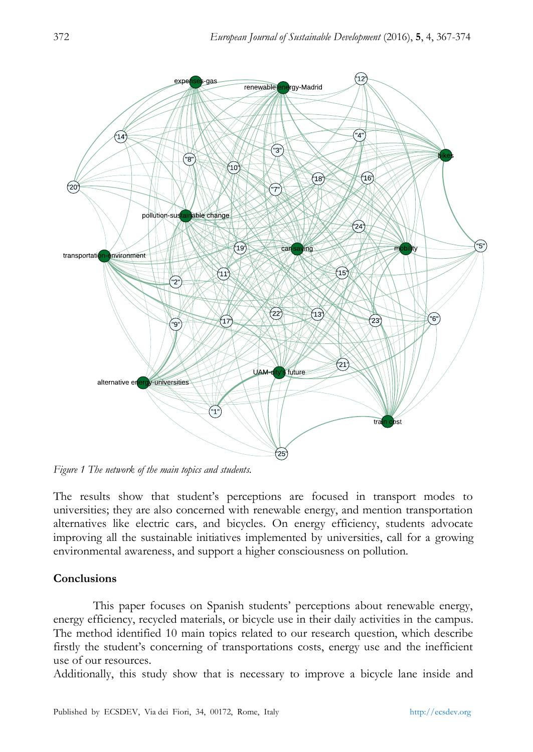

*Figure 1 The network of the main topics and students.*

The results show that student"s perceptions are focused in transport modes to universities; they are also concerned with renewable energy, and mention transportation alternatives like electric cars, and bicycles. On energy efficiency, students advocate improving all the sustainable initiatives implemented by universities, call for a growing environmental awareness, and support a higher consciousness on pollution.

# **Conclusions**

This paper focuses on Spanish students' perceptions about renewable energy, energy efficiency, recycled materials, or bicycle use in their daily activities in the campus. The method identified 10 main topics related to our research question, which describe firstly the student"s concerning of transportations costs, energy use and the inefficient use of our resources.

Additionally, this study show that is necessary to improve a bicycle lane inside and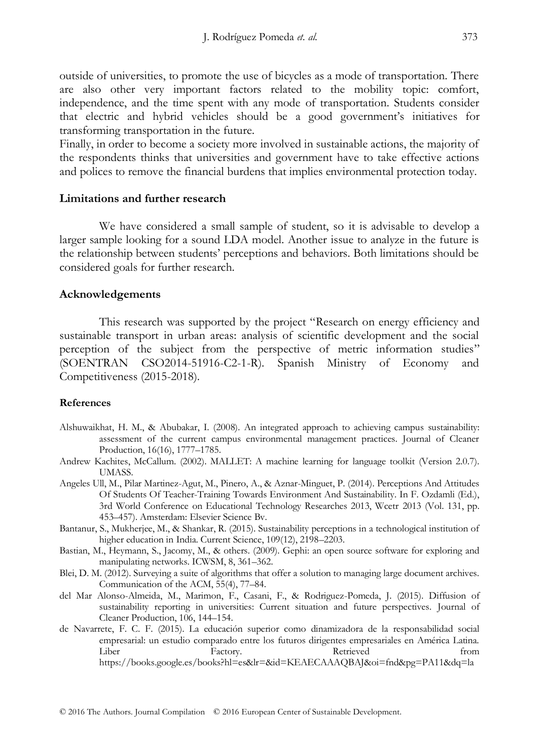outside of universities, to promote the use of bicycles as a mode of transportation. There are also other very important factors related to the mobility topic: comfort, independence, and the time spent with any mode of transportation. Students consider that electric and hybrid vehicles should be a good government"s initiatives for transforming transportation in the future.

Finally, in order to become a society more involved in sustainable actions, the majority of the respondents thinks that universities and government have to take effective actions and polices to remove the financial burdens that implies environmental protection today.

## **Limitations and further research**

We have considered a small sample of student, so it is advisable to develop a larger sample looking for a sound LDA model. Another issue to analyze in the future is the relationship between students" perceptions and behaviors. Both limitations should be considered goals for further research.

## **Acknowledgements**

This research was supported by the project "Research on energy efficiency and sustainable transport in urban areas: analysis of scientific development and the social perception of the subject from the perspective of metric information studies" (SOENTRAN CSO2014-51916-C2-1-R). Spanish Ministry of Economy and Competitiveness (2015-2018).

#### **References**

- Alshuwaikhat, H. M., & Abubakar, I. (2008). An integrated approach to achieving campus sustainability: assessment of the current campus environmental management practices. Journal of Cleaner Production, 16(16), 1777–1785.
- Andrew Kachites, McCallum. (2002). MALLET: A machine learning for language toolkit (Version 2.0.7). UMASS.
- Angeles Ull, M., Pilar Martinez-Agut, M., Pinero, A., & Aznar-Minguet, P. (2014). Perceptions And Attitudes Of Students Of Teacher-Training Towards Environment And Sustainability. In F. Ozdamli (Ed.), 3rd World Conference on Educational Technology Researches 2013, Wcetr 2013 (Vol. 131, pp. 453–457). Amsterdam: Elsevier Science Bv.
- Bantanur, S., Mukherjee, M., & Shankar, R. (2015). Sustainability perceptions in a technological institution of higher education in India. Current Science, 109(12), 2198–2203.
- Bastian, M., Heymann, S., Jacomy, M., & others. (2009). Gephi: an open source software for exploring and manipulating networks. ICWSM, 8, 361–362.
- Blei, D. M. (2012). Surveying a suite of algorithms that offer a solution to managing large document archives. Communication of the ACM, 55(4), 77–84.
- del Mar Alonso-Almeida, M., Marimon, F., Casani, F., & Rodriguez-Pomeda, J. (2015). Diffusion of sustainability reporting in universities: Current situation and future perspectives. Journal of Cleaner Production, 106, 144–154.
- de Navarrete, F. C. F. (2015). La educación superior como dinamizadora de la responsabilidad social empresarial: un estudio comparado entre los futuros dirigentes empresariales en América Latina. Liber Factory. Retrieved from https://books.google.es/books?hl=es&lr=&id=KEAECAAAQBAJ&oi=fnd&pg=PA11&dq=la